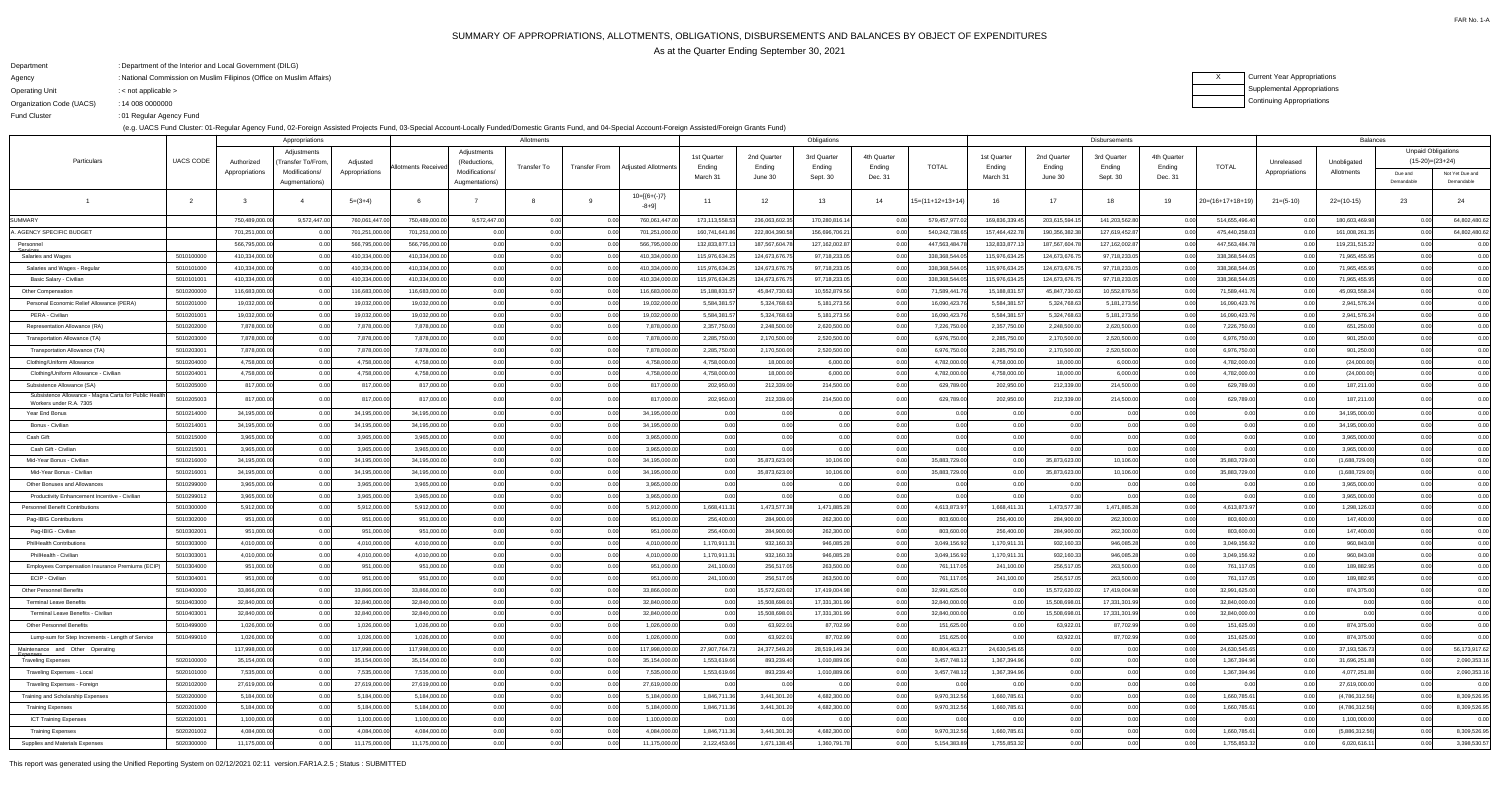# SUMMARY OF APPROPRIATIONS, ALLOTMENTS, OBLIGATIONS, DISBURSEMENTS AND BALANCES BY OBJECT OF EXPENDITURESAs at the Quarter Ending September 30, 2021

FAR No. 1-A

### XCurrent Year AppropriationsSupplemental AppropriationsContinuing Appropriations

DepartmentAgencyOperating Unit Organization Code (UACS) Fund ClusterDepartment of the Interior and Local Government (DILG):National Commission on Muslim Filipinos (Office on Muslim Affairs):< not applicable >: 14 008 0000000:01 Regular Agency Fund:

(e.g. UACS Fund Cluster: 01-Regular Agency Fund, 02-Foreign Assisted Projects Fund, 03-Special Account-Locally Funded/Domestic Grants Fund, and 04-Special Account-Foreign Assisted/Foreign Grants Fund)

|                                                                                  | Appropriations           |                              |                                  |                            |                              | Allotments                       |              |                      |                              |                            |                           | Obligations              |                       |                              |                              |                         | <b>Disbursements</b>     |                       | <b>Balances</b>              |                |                           |                                                |                               |
|----------------------------------------------------------------------------------|--------------------------|------------------------------|----------------------------------|----------------------------|------------------------------|----------------------------------|--------------|----------------------|------------------------------|----------------------------|---------------------------|--------------------------|-----------------------|------------------------------|------------------------------|-------------------------|--------------------------|-----------------------|------------------------------|----------------|---------------------------|------------------------------------------------|-------------------------------|
| Particulars                                                                      | <b>UACS CODE</b>         | Authorized                   | Adjustments<br>Transfer To/From  | Adjusted                   | Allotments Receive           | Adjustments<br>(Reductions,      | Transfer To  | <b>Transfer From</b> | Adjusted Allotments          | 1st Quarter<br>Ending      | 2nd Quarter<br>Ending     | 3rd Quarter<br>Ending    | 4th Quarter<br>Ending | <b>TOTAL</b>                 | 1st Quarter<br>Ending        | 2nd Quarter<br>Ending   | 3rd Quarter<br>Ending    | 4th Quarter<br>Ending | <b>TOTAL</b>                 | Unreleased     | Unobligated               | <b>Unpaid Obligations</b><br>$(15-20)=(23+24)$ |                               |
|                                                                                  |                          | Appropriations               | Modifications/<br>Augmentations) | Appropriations             |                              | Modifications/<br>Augmentations) |              |                      |                              | March 31                   | June 30                   | Sept. 30                 | Dec. 31               |                              | March 3 <sup>-</sup>         | June 30                 | Sept. 30                 | Dec. 31               |                              | Appropriations | Allotments                | Due and<br>Demandable                          | Not Yet Due and<br>Demandable |
|                                                                                  |                          |                              |                                  | $5=(3+4)$                  |                              |                                  |              |                      | $10=[(6+(-)7)$<br>-8+9]      | 11                         | 12                        | 13 <sup>1</sup>          | 14                    | $15=(11+12+13+14)$           | 16                           | 17                      | - 18                     | 19                    | $20=(16+17+18+19)$           | $21=(5-10)$    | $22=(10-15)$              | 23                                             | 24                            |
| SUMMARY                                                                          |                          | 750,489,000.0                | 9,572,447.0                      | 760,061,447.0              | 750,489,000.00               | 9,572,447.00                     | 0.00         |                      | 760,061,447.00               | 173,113,558.53             | 236,063,602.              | 170,280,816.14           |                       | 579,457,977.0                | 169,836,339.4                | 203,615,594.            | 141,203,562.80           | 0.00                  | 514,655,496.40               | _ი ი           | 180,603,469.98            | 0.00                                           | 64,802,480.62                 |
| <b>AGENCY SPECIFIC BUDGET</b>                                                    |                          | 701,251,000.00               |                                  | 701,251,000.0              | 701,251,000.00               | 0.00                             | 0.00         |                      | 701,251,000.00               | 160,741,641.8              | 222,804,390.58            | 156,696,706.21           |                       | 540,242,738.65               | 157,464,422.78               | 190,356,382.3           | 127,619,452.87           | 0.00                  | 475,440,258.03               |                | 161,008,261.35            |                                                | 64,802,480.62                 |
| Personnel<br>Services                                                            |                          | 566,795,000.0                |                                  | 566,795,000.0              | 566,795,000.00               | 0.00                             | 0.00         |                      | 566,795,000.00               | 132,833,877.               | 187,567,604.              | 127,162,002.87           |                       | 447,563,484.7                | 132,833,877.                 | 187,567,604.7           | 127, 162, 002.87         | 0.00                  | 447,563,484.78               |                | 119,231,515.22            |                                                | 0.00                          |
| Salaries and Wages                                                               | 5010100000               | 410,334,000.00               |                                  | 410,334,000.0              | 410,334,000.00               | 0.00                             | 0.00         | 0.00                 | 410,334,000.00               | 115,976,634.2              | 124,673,676.75            | 97,718,233.05            |                       | 338,368,544.0                | 115,976,634.25               | 124,673,676.7           | 97,718,233.05            | 0.00                  | 338,368,544.05               |                | 71,965,455.95             |                                                | 0.00                          |
| Salaries and Wages - Regular                                                     | 5010101000               | 410,334,000.00               |                                  | 410,334,000.0              | 410,334,000.00               | 0.00                             | 0.00         | 0.00                 | 410,334,000.00               | 115,976,634.2              | 124,673,676.              | 97,718,233.05            |                       | 338,368,544.0                | 115,976,634.2                | 124,673,676.7           | 97,718,233.05            | 0.00                  | 338,368,544.05               | _ი ი           | 71,965,455.95             | 0.00                                           | 0.00                          |
| Basic Salary - Civilian                                                          | 5010101001               | 410,334,000.00               |                                  | 410,334,000.0              | 410,334,000.00               | 0.00                             | 0.00         |                      | 410,334,000.00               | 115,976,634.2              | 124,673,676.75            | 97,718,233.05            |                       | 338,368,544.0                | 115,976,634.25               | 124,673,676.7           | 97,718,233.05            | 0.00                  | 338,368,544.05               | 0.0            | 71,965,455.95             | 0.00                                           | 0.00                          |
| Other Compensation                                                               | 5010200000               | 116,683,000.00               |                                  | 116,683,000.0              | 116,683,000.00               | 0.00                             | 0.00         |                      | 116,683,000.00               | 15,188,831.5               | 45,847,730.63             | 10,552,879.56            |                       | 71,589,441.7                 | 15,188,831.5                 | 45,847,730.6            | 10,552,879.56            | 0.00                  | 71,589,441.76                |                | 45,093,558.24             | 0.00                                           | 0.00                          |
| Personal Economic Relief Allowance (PERA)                                        | 5010201000               | 19,032,000.00                |                                  | 19,032,000.0               | 19,032,000.00                | 0.00                             | 0.00         | 0.00                 | 19,032,000.00                | 5,584,381.5                | 5,324,768.63              | 5, 181, 273.56           |                       | 16,090,423.7                 | 5,584,381.5                  | 5,324,768.6             | 5,181,273.56             | 0.00                  | 16,090,423.76                | 0.0            | 2,941,576.24              | 0.00                                           | 0.00                          |
| PERA - Civilian                                                                  | 5010201001               | 19,032,000.00                |                                  | 19,032,000.0               | 19,032,000.00                | 0.00                             | 0.00         | 0.00                 | 19,032,000.00                | 5,584,381.5                | 5,324,768.63              | 5, 181, 273.56           |                       | 16,090,423.7                 | 5,584,381.5                  | 5,324,768.6             | 5,181,273.56             | 0.00                  | 16,090,423.76                | 0.0            | 2,941,576.24              | 0.00                                           | 0.00                          |
| Representation Allowance (RA)                                                    | 5010202000               | 7,878,000.00                 |                                  | 7,878,000.0                | 7,878,000.00                 | 0.00                             | 0.00         | 0.00                 | 7,878,000.00                 | 2,357,750.0                | 2,248,500.00              | 2,620,500.00             |                       | 7,226,750.00                 | 2,357,750.00                 | 2,248,500.0             | 2,620,500.00             | 0.00                  | 7,226,750.00                 | 0.0            | 651,250.00                | 0.00                                           | 0.00                          |
| Transportation Allowance (TA)                                                    | 5010203000<br>5010203001 | 7,878,000.00                 |                                  | 7,878,000.0<br>7,878,000.0 | 7,878,000.00<br>7,878,000.00 | 0.00<br>0.00                     | 0.00         | 0.00<br>0.00         | 7,878,000.00                 | 2,285,750.0<br>2,285,750.0 | 2,170,500.00              | 2,520,500.00             |                       | 6,976,750.00                 | 2,285,750.00                 | 2,170,500.0             | 2,520,500.00             | 0.00<br>0.00          | 6,976,750.00                 | 0.0<br>0.0     | 901,250.00                | 0.00                                           | 0.00<br>0.00                  |
| Transportation Allowance (TA)                                                    | 5010204000               | 7,878,000.00<br>4,758,000.00 |                                  | 4,758,000.0                | 4,758,000.00                 | 0.00                             | 0.00         | 0.00                 | 7,878,000.00<br>4,758,000.00 | 4,758,000.0                | 2,170,500.00<br>18,000.00 | 2,520,500.00<br>6,000.00 |                       | 6,976,750.00<br>4,782,000.00 | 2,285,750.00<br>4,758,000.00 | 2,170,500.0<br>18,000.0 | 2,520,500.00<br>6,000.00 | 0.00                  | 6,976,750.00<br>4,782,000.00 | 0.0            | 901,250.00<br>(24,000.00) |                                                | 0.00                          |
| Clothing/Uniform Allowance<br>Clothing/Uniform Allowance - Civilian              | 5010204001               | 4,758,000.00                 |                                  | 4,758,000.0                | 4,758,000.00                 | 0.00                             | 0.00         |                      | 4,758,000.00                 | 4,758,000.0                | 18,000.00                 | 6,000.00                 |                       | 4,782,000.00                 | 4,758,000.00                 | 18,000.0                | 6,000.00                 | 0.00                  | 4,782,000.00                 | 0.0            | (24,000.00)               |                                                | 0.00                          |
| Subsistence Allowance (SA)                                                       | 5010205000               | 817,000.00                   |                                  | 817,000.0                  | 817,000.00                   | 0.00                             | 0.00         | 0.00                 | 817,000.00                   | 202,950.0                  | 212,339.00                | 214,500.00               |                       | 629,789.00                   | 202,950.00                   | 212,339.0               | 214,500.00               | 0.00                  | 629,789.00                   | . റ റ          | 187,211.00                |                                                | 0.00                          |
| Subsistence Allowance - Magna Carta for Public Health<br>Workers under R.A. 7305 | 5010205003               | 817,000.00                   |                                  | 817,000.0                  | 817,000.00                   | 0.00                             |              |                      | 817,000.00                   | 202,950.0                  | 212,339.00                | 214,500.00               |                       | 629,789.00                   | 202,950.00                   | 212,339.0               | 214,500.00               | 0.00                  | 629,789.00                   |                | 187,211.00                |                                                | 0.00                          |
| Year End Bonus                                                                   | 5010214000               | 34,195,000.00                |                                  | 34,195,000.0               | 34,195,000.00                | 0.00                             |              |                      | 34,195,000.00                | 0.00                       |                           | 0.00                     |                       |                              |                              |                         |                          | 0.00                  |                              |                | 34,195,000.00             |                                                | 0.00                          |
| Bonus - Civilian                                                                 | 5010214001               | 34,195,000.00                |                                  | 34,195,000.0               | 34,195,000.00                | 0.00                             | 0.00         | 0.00                 | 34,195,000.00                | 0.00                       | 0.00                      | 0.00                     |                       | 0.00                         |                              |                         | 0.00                     | 0.00                  |                              |                | 34,195,000.00             |                                                | 0.00                          |
| Cash Gift                                                                        | 5010215000               | 3,965,000.00                 |                                  | 3,965,000.0                | 3,965,000.00                 | 0.00                             | 0.00         | 0.00                 | 3,965,000.00                 | 0.00                       |                           | 0.00                     |                       |                              |                              |                         | 0.00                     | 0.00                  | 0.0(                         |                | 3,965,000.00              |                                                | 0.00                          |
| Cash Gift - Civilian                                                             | 5010215001               | 3,965,000.00                 |                                  | 3,965,000.0                | 3,965,000.00                 | 0.00                             | 0.00         |                      | 3,965,000.00                 | 0.00                       | 0.00                      | 0.00                     |                       |                              |                              |                         | 0.00                     | 0.00                  |                              |                | 3,965,000.00              |                                                | 0.00                          |
| Mid-Year Bonus - Civilian                                                        | 5010216000               | 34,195,000.00                |                                  | 34,195,000.0               | 34,195,000.00                | 0.00                             |              |                      | 34,195,000.00                |                            | 35,873,623.00             | 10,106.00                |                       | 35,883,729.00                |                              | 35,873,623.0            | 10,106.00                | 0.00                  | 35,883,729.00                |                | (1,688,729.00)            |                                                | 0.00                          |
| Mid-Year Bonus - Civiliar                                                        | 5010216001               | 34,195,000.00                |                                  | 34,195,000.0               | 34,195,000.0                 | 0.00                             |              |                      | 34,195,000.0                 | 0.00                       | 35,873,623.0              | 10,106.00                |                       | 35,883,729.00                |                              | 35,873,623.0            | 10,106.00                | 0.00                  | 35,883,729.00                |                | (1,688,729.00)            |                                                | 0.00                          |
| Other Bonuses and Allowances                                                     | 5010299000               | 3,965,000.0                  |                                  | 3,965,000.0                | 3.965.000.0                  | n nr                             | n nn         |                      | 3.965.000.0                  | 000                        |                           |                          |                       |                              |                              |                         |                          | 0.00                  |                              |                | 3 965 000 0               |                                                |                               |
| Productivity Enhancement Incentive - Civilian                                    | 5010299012               | 3,965,000.00                 | 0 <sub>0</sub>                   | 3,965,000.00               | 3,965,000.00                 | 0.00                             | 0.00         | 0.00                 | 3,965,000.00                 | 0.00                       | 0.00                      | 0.00                     | 0.00                  | 0.00                         |                              | 0.0                     | 0.00                     | 0.00                  | 0.00                         | 0.0            | 3,965,000.00              | 0.00                                           | 0.00                          |
| <b>Personnel Benefit Contributions</b>                                           | 5010300000               | 5,912,000.00                 |                                  | 5,912,000.00               | 5,912,000.00                 | 0.00                             | 0.00         | 0.00                 | 5,912,000.00                 | 1,668,411.3                | 1,473,577.38              | 1,471,885.28             | 0.00                  | 4,613,873.97                 | 1,668,411.31                 | 1,473,577.3             | 1,471,885.28             | 0.00                  | 4,613,873.97                 | 0.00           | 1,298,126.03              | 0.00                                           | 0.00                          |
| Pag-IBIG Contributions                                                           | 5010302000               | 951,000.00                   |                                  | 951,000.00                 | 951,000.00                   | 0.00                             | 0.00         | 0.00                 | 951,000.00                   | 256,400.00                 | 284,900.00                | 262,300.00               |                       | 803,600.00                   | 256,400.00                   | 284,900.0               | 262,300.00               | 0.00                  | 803,600.00                   | 0.00           | 147,400.00                | 0.00                                           | 0.00                          |
| Pag-IBIG - Civilian                                                              | 5010302001               | 951,000.00                   |                                  | 951,000.0                  | 951,000.00                   | 0.00                             | 0.00         | 0.00                 | 951,000.00                   | 256,400.00                 | 284,900.00                | 262,300.00               | 0.00                  | 803,600.00                   | 256,400.00                   | 284,900.0               | 262,300.00               | 0.00                  | 803,600.00                   | 0.00           | 147,400.00                | 0.00                                           | 0.00                          |
| <b>PhilHealth Contributions</b>                                                  | 5010303000               | 4,010,000.00                 |                                  | 4,010,000.0                | 4,010,000.00                 | 0.00                             | 0.00         | 0.00                 | 4,010,000.00                 | 1,170,911.3                | 932,160.33                | 946,085.28               | 0.00                  | 3,049,156.92                 | 1,170,911.31                 | 932,160.33              | 946,085.28               | 0.00                  | 3,049,156.92                 | 0.00           | 960,843.08                | 0.00                                           | 0.00                          |
| PhilHealth - Civilian                                                            | 5010303001<br>5010304000 | 4,010,000.00<br>951,000.00   |                                  | 4,010,000.0<br>951,000.00  | 4,010,000.00<br>951,000.00   | 0.00<br>0.00                     | 0.00<br>0.00 | 0.00<br>0.00         | 4,010,000.00<br>951,000.00   | 1,170,911.3<br>241,100.00  | 932,160.33<br>256,517.05  | 946,085.28               | 0.00                  | 3,049,156.92                 | 1,170,911.31<br>241,100.00   | 932,160.33              | 946,085.28<br>263,500.00 | 0.00                  | 3,049,156.92<br>761,117.05   | 0.00<br>0.00   | 960,843.08<br>189,882.95  | 0.00<br>0.00                                   | 0.00<br>0.00                  |
| Employees Compensation Insurance Premiums (ECIP)<br>ECIP - Civilian              | 5010304001               | 951,000.00                   |                                  | 951,000.0                  | 951,000.00                   | 0.00                             | 0.00         | 0.00                 | 951,000.00                   | 241,100.00                 | 256,517.05                | 263,500.00<br>263,500.00 | 0.00<br>0.00          | 761,117.05<br>761,117.0      | 241,100.00                   | 256,517.0<br>256,517.0  | 263,500.00               | 0.00<br>0.00          | 761,117.05                   | 0.00           | 189,882.95                | 0.00                                           | 0.00                          |
| <b>Other Personnel Benefits</b>                                                  | 5010400000               | 33,866,000.00                |                                  | 33,866,000.0               | 33,866,000.00                | 0.00                             | 0.00         | 0.00                 | 33,866,000.00                | 0.00                       | 15,572,620.02             | 17,419,004.98            |                       | 32,991,625.00                |                              | 15,572,620.0            | 17,419,004.98            | 0.00                  | 32,991,625.00                | 0.00           | 874,375.00                | 0.00                                           | 0.00                          |
| <b>Terminal Leave Benefits</b>                                                   | 5010403000               | 32,840,000.00                |                                  | 32,840,000.0               | 32,840,000.00                | 0.00                             | 0.00         | 0.00                 | 32,840,000.00                | 0.00                       | 15,508,698.               | 17,331,301.99            |                       | 32,840,000.00                |                              | 15,508,698.0            | 17,331,301.99            | 0.00                  | 32,840,000.00                | 0.00           | 0.00                      | 0.00                                           | 0.00                          |
| Terminal Leave Benefits - Civilian                                               | 5010403001               | 32,840,000.00                |                                  | 32,840,000.0               | 32,840,000.00                | 0.00                             | 0.00         | 0.00                 | 32,840,000.00                | 0.00                       | 15,508,698.0              | 17,331,301.99            | 0.00                  | 32,840,000.00                |                              | 15,508,698.0            | 17,331,301.99            | 0.00                  | 32,840,000.00                | 0.00           | 0.00                      | 0.00                                           | 0.00                          |
| <b>Other Personnel Benefits</b>                                                  | 5010499000               | 1,026,000.00                 |                                  | 1,026,000.0                | 1,026,000.00                 | 0.00                             | 0.00         | 0.00                 | 1,026,000.00                 | 0.00                       | 63,922.0                  | 87,702.99                | 0.00                  | 151,625.00                   |                              | 63,922.0                | 87,702.99                | 0.00                  | 151,625.00                   | 0.00           | 874,375.00                | 0.00                                           | 0.00                          |
| Lump-sum for Step Increments - Length of Service                                 | 5010499010               | 1,026,000.00                 |                                  | 1,026,000.0                | 1,026,000.00                 | 0.00                             | 0.00         | 0.00                 | 1,026,000.00                 | 0.00                       | 63,922.01                 | 87,702.99                | 0.00                  | 151,625.00                   |                              | 63,922.0                | 87,702.99                | 0.00                  | 151,625.00                   | 0.00           | 874,375.00                | 0.00                                           | 0.00                          |
| Maintenance and Other Operating                                                  |                          | 117,998,000.00               |                                  | 117,998,000.0              | 117,998,000.00               | 0.00                             | 0.00         | 0.00                 | 117,998,000.00               | 27,907,764.73              | 24,377,549.20             | 28,519,149.34            |                       | 80,804,463.2                 | 24,630,545.65                | 0.00                    | 0.00                     | 0.00                  | 24,630,545.65                | 0.0            | 37,193,536.73             |                                                | 56,173,917.62                 |
| <del>Expenses</del><br><b>Traveling Expenses</b>                                 | 5020100000               | 35,154,000.00                |                                  | 35,154,000.0               | 35,154,000.00                | 0.00                             | 0.00         | 0.00                 | 35,154,000.00                | 1,553,619.66               | 893,239.40                | 1,010,889.06             | 0.00                  | 3,457,748.12                 | 1,367,394.96                 | 0.00                    | 0.00                     | 0.00                  | 1,367,394.96                 | 0.00           | 31,696,251.88             | 0.00                                           | 2,090,353.16                  |
| Traveling Expenses - Local                                                       | 5020101000               | 7,535,000.00                 |                                  | 7,535,000.0                | 7,535,000.00                 | 0.00                             | 0.00         | 0.00                 | 7,535,000.00                 | 1,553,619.66               | 893,239.40                | 1,010,889.06             |                       | 3,457,748.1                  | 1,367,394.96                 | 0 <sub>0</sub>          | 0.00                     | 0.00                  | 1,367,394.96                 | 0.0            | 4,077,251.88              |                                                | 2,090,353.16                  |
| Traveling Expenses - Foreign                                                     | 5020102000               | 27,619,000.00                |                                  | 27,619,000.0               | 27,619,000.00                | 0.00                             | 0.00         | 0.00                 | 27,619,000.00                | 0.00                       | 0.00                      | 0.00                     | 0.00                  | 0.00                         |                              | 0.00                    | 0.00                     | 0.00                  | 0.00                         | 0.00           | 27,619,000.00             | 0.00                                           | 0.00                          |
| Training and Scholarship Expenses                                                | 5020200000               | 5,184,000.00                 |                                  | 5,184,000.0                | 5,184,000.00                 | 0.00                             | 0.00         | 0.00                 | 5,184,000.00                 | 1,846,711.3                | 3,441,301.20              | 4,682,300.00             |                       | 9,970,312.56                 | 1,660,785.61                 | 0.00                    | 0.00                     | 0.00                  | 1,660,785.61                 | 0.0            | (4,786,312.56)            |                                                | 8,309,526.95                  |
| <b>Training Expenses</b>                                                         | 5020201000               | 5,184,000.00                 |                                  | 5,184,000.0                | 5,184,000.00                 | 0.00                             | 0.00         | 0.00                 | 5,184,000.00                 | 1,846,711.36               | 3,441,301.20              | 4,682,300.00             | 0.00                  | 9,970,312.56                 | 1,660,785.61                 | 0.00                    | 0.00                     | 0.00                  | 1,660,785.61                 | 0.00           | (4,786,312.56)            | 0.00                                           | 8,309,526.95                  |
| <b>ICT Training Expenses</b>                                                     | 5020201001               | 1,100,000.00                 |                                  | 1,100,000.0                | 1,100,000.00                 | 0.00                             | 0.00         | 0.00                 | 1,100,000.00                 | 0.00                       | 0.00                      | 0.0(                     | 0.00                  |                              |                              | 0 <sub>0</sub>          | 0.00                     | 0.00                  | 0.00                         | 0.00           | 1,100,000.00              | 0.00                                           | 0.00                          |
| <b>Training Expenses</b>                                                         | 5020201002               | 4,084,000.00                 |                                  | 4,084,000.0                | 4,084,000.00                 | 0.00                             | 0.00         | 0.00                 | 4,084,000.00                 | 1,846,711.3                | 3,441,301.20              | 4,682,300.00             | 0.00                  | 9,970,312.56                 | 1,660,785.61                 | 0.00                    | 0.00                     | 0.00                  | 1,660,785.61                 | 0.00           | (5,886,312.56             | 0.00                                           | 8,309,526.95                  |
| Supplies and Materials Expenses                                                  | 5020300000               | 11,175,000.00                |                                  | 11,175,000.0               | 11,175,000.00                | 0.00                             | 0.00         | 0.00                 | 11,175,000.00                | 2,122,453.66               | 1,671,138.45              | 1,360,791.78             |                       | 5,154,383.89                 | 1,755,853.32                 | 0.00                    | 0.00                     | 0.00                  | 1,755,853.32                 | 0.00           | 6,020,616.1               | 0.00                                           | 3,398,530.57                  |
|                                                                                  |                          |                              |                                  |                            |                              |                                  |              |                      |                              |                            |                           |                          |                       |                              |                              |                         |                          |                       |                              |                |                           |                                                |                               |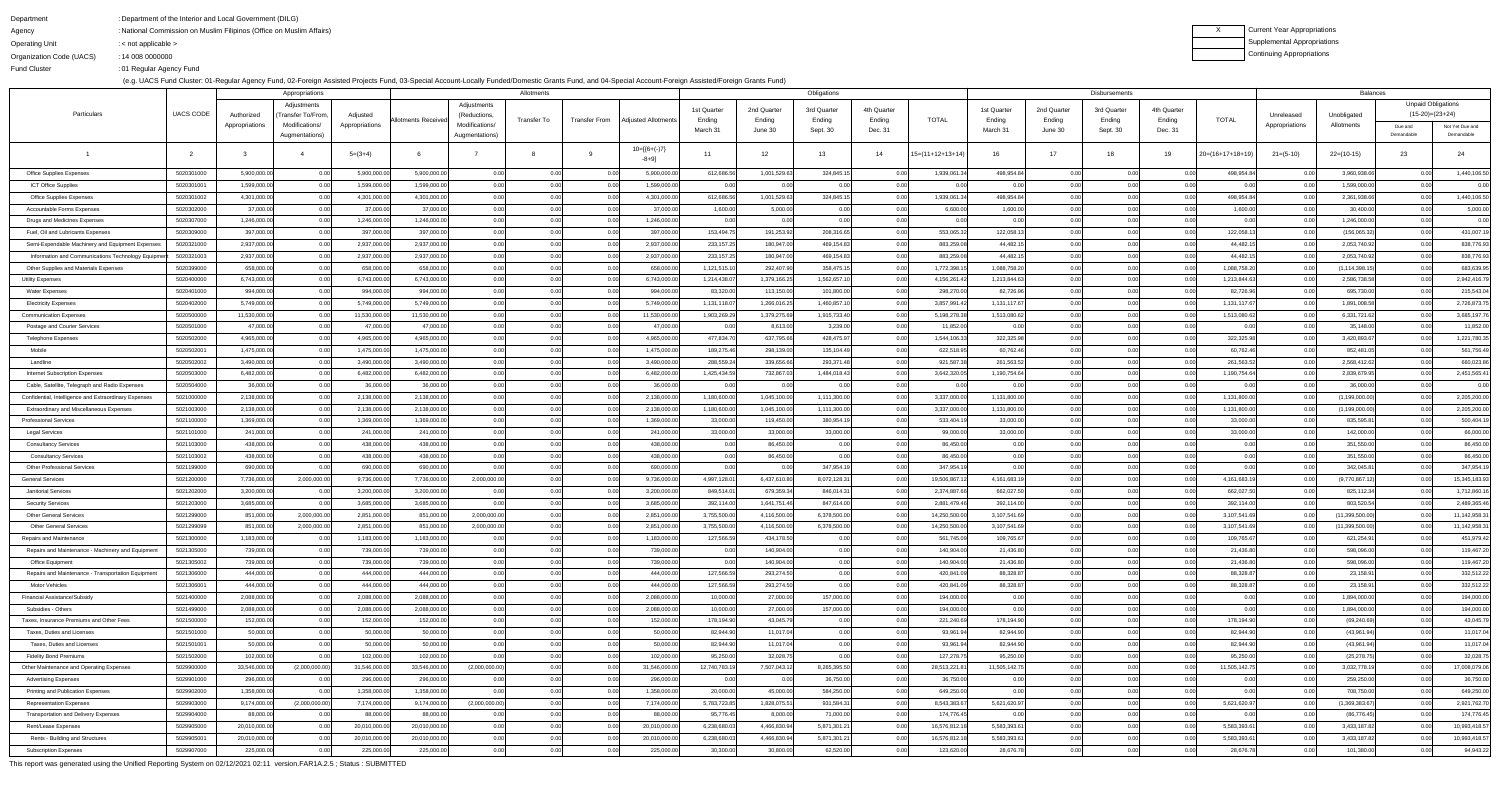Agency

Organization Code (UACS)

Fund Cluster

DepartmentDepartment of the Interior and Local Government (DILG):

Operating Unit < not applicable >:14 008 0000000:

National Commission on Muslim Filipinos (Office on Muslim Affairs):

01 Regular Agency Fund:

(e.g. UACS Fund Cluster: 01-Regular Agency Fund, 02-Foreign Assisted Projects Fund, 03-Special Account-Locally Funded/Domestic Grants Fund, and 04-Special Account-Foreign Assisted/Foreign Grants Fund)

XCurrent Year Appropriations Supplemental AppropriationsContinuing Appropriations

|                                                               |                          |                              | Appropriations                   |                            |                              |                                  | Allotments   |               |                              | Obligations               |                              |                            |             |                               | Disbursements              |                   |              |              |                            |                | <b>Balances</b>               |                           |                               |  |  |
|---------------------------------------------------------------|--------------------------|------------------------------|----------------------------------|----------------------------|------------------------------|----------------------------------|--------------|---------------|------------------------------|---------------------------|------------------------------|----------------------------|-------------|-------------------------------|----------------------------|-------------------|--------------|--------------|----------------------------|----------------|-------------------------------|---------------------------|-------------------------------|--|--|
|                                                               |                          |                              | Adjustments                      |                            | Allotments Receiveo          | Adjustments                      |              |               | Adjusted Allotments          | 1st Quarter               | 2nd Quarter                  | 3rd Quarter                | 4th Quarter |                               | 1st Quarter                | 2nd Quarter       | 3rd Quarter  | 4th Quarter  |                            |                |                               | <b>Unpaid Obligations</b> |                               |  |  |
| Particulars                                                   | <b>UACS CODE</b>         | Authorized                   | 'Transfer To/From,               | Adjusted                   |                              | (Reductions,                     | Transfer To  | Transfer From |                              | Ending                    | Ending                       | Ending                     | Ending      | <b>TOTAL</b>                  | Ending                     | Ending            | Ending       | Ending       | <b>TOTAL</b>               | Unreleased     | Unobligated                   | $(15-20)=(23+24)$         |                               |  |  |
|                                                               |                          | Appropriations               | Modifications/<br>Augmentations) | Appropriations             |                              | Modifications/<br>Augmentations) |              |               |                              | March 31                  | June 30                      | Sept. 30                   | Dec. 31     |                               | March 31                   | June 30           | Sept. 30     | Dec. 31      |                            | Appropriations | Allotments                    | Due and<br>Demandable     | Not Yet Due and<br>Demandable |  |  |
|                                                               |                          |                              |                                  | $5=(3+4)$                  |                              |                                  |              |               | $10=[6+(-)7]$<br>-8+9]       | 11                        | 12                           | 13                         | 14          | $15=(11+12+13+14)$            | 16                         | 17                | - 18         | 19           | $20=(16+17+18+19)$         | $21 = (5-10)$  | $22=(10-15)$                  | 23                        | 24                            |  |  |
|                                                               |                          |                              |                                  |                            |                              |                                  |              |               |                              |                           |                              |                            |             |                               |                            |                   |              |              |                            |                |                               | 0.00                      |                               |  |  |
| <b>Office Supplies Expenses</b><br><b>ICT Office Supplies</b> | 5020301000<br>5020301001 | 5,900,000.00<br>1,599,000.00 | 0.00                             | 5,900,000.0<br>1,599,000.0 | 5,900,000.00<br>1,599,000.00 | 0.00<br>0.00                     | 0.00         | 0.00<br>0.00  | 5,900,000.00<br>1,599,000.00 | 612,686.56<br>0.00        | 1,001,529.63                 | 324,845.15<br>0.00         |             | 1,939,061.3                   | 498,954.84                 | 0.00              | 0.00         | 0.00         | 498,954.84                 | 0.00           | 3,960,938.66<br>1,599,000.00  | 0.0(                      | 1,440,106.50<br>0.00          |  |  |
| <b>Office Supplies Expenses</b>                               | 5020301002               | 4,301,000.00                 |                                  | 4,301,000.0                | 4,301,000.00                 | 0.00                             | 0.00         | 0.00          | 4,301,000.00                 | 612,686.56                | 1,001,529.63                 | 324,845.15                 |             | 1,939,061.34                  | 498,954.84                 |                   | 0.00         |              | 498,954.84                 | 0.00           | 2,361,938.66                  | 0.00                      | 1,440,106.50                  |  |  |
| <b>Accountable Forms Expenses</b>                             | 5020302000               | 37,000.00                    |                                  | 37,000.0                   | 37,000.00                    | 0.00                             |              | 0.00          | 37,000.00                    | 1,600.00                  | 5,000.00                     | 0.00                       |             | 6,600.00                      | 1,600.00                   |                   |              |              | 1,600.00                   |                | 30,400.00                     |                           | 5,000.00                      |  |  |
| Drugs and Medicines Expenses                                  | 5020307000               | 1,246,000.00                 |                                  | 1,246,000.0                | 1,246,000.00                 | 0.00                             | 0.00         | 0.00          | 1,246,000.00                 | 0.00                      | 0.00                         | 0.00                       | 0.00        | 0.00                          |                            | 0 <sub>0</sub>    | 0.00         | 0.00         | 0.00                       | 0.00           | 1,246,000.00                  | 0.00                      | 0.00                          |  |  |
| Fuel, Oil and Lubricants Expenses                             | 5020309000               | 397,000.00                   |                                  | 397,000.0                  | 397,000.00                   | 0.00                             | 0.00         | 0.00          | 397,000.00                   | 153,494.7                 | 191,253.92                   | 208,316.65                 |             | 553,065.32                    | 122,058.13                 |                   |              |              | 122,058.13                 |                | (156,065.32)                  |                           | 431,007.19                    |  |  |
| Semi-Expendable Machinery and Equipment Expenses              | 5020321000               | 2,937,000.00                 |                                  | 2,937,000.0                | 2,937,000.00                 | 0.00                             | 0.00         | 0.00          | 2,937,000.00                 | 233,157.25                | 180,947.00                   | 469,154.83                 |             | 883,259.08                    | 44,482.15                  | 0 <sub>0</sub>    | 0.00         | 0.00         | 44,482.15                  | 0.00           | 2,053,740.92                  |                           | 838,776.93                    |  |  |
| Information and Communications Technology Equipment           | 5020321003               | 2,937,000.00                 |                                  | 2,937,000.0                | 2,937,000.00                 | 0.00                             |              | 0.00          | 2,937,000.00                 | 233, 157.2                | 180,947.00                   | 469,154.83                 |             | 883,259.08                    | 44,482.1                   |                   |              |              | 44,482.15                  |                | 2,053,740.92                  | 0 <sub>0</sub>            | 838,776.93                    |  |  |
| Other Supplies and Materials Expenses                         | 5020399000               | 658,000.00                   |                                  | 658,000.0                  | 658,000.00                   | 0.00                             | 0.00         | 0.00          | 658,000.00                   | 1,121,515.1               | 292,407.90                   | 358,475.15                 |             | 1,772,398.1                   | 1,088,758.20               | 0 <sub>0</sub>    | 0.00         |              | 1,088,758.20               | 0.00           | (1, 114, 398.15)              |                           | 683,639.95                    |  |  |
| <b>Utility Expenses</b>                                       | 5020400000               | 6,743,000.00                 |                                  | 6,743,000.0                | 6,743,000.00                 | 0.00                             |              | 0.00          | 6,743,000.00                 | 1,214,438.0               | 1,379,166.25                 | 1,562,657.10               |             | 4,156,261.42                  | 1,213,844.63               | 0 <sub>0</sub>    | 0.00         |              | 1,213,844.63               | 0.00           | 2,586,738.58                  | 0 <sub>0</sub>            | 2,942,416.79                  |  |  |
| <b>Water Expenses</b>                                         | 5020401000               | 994,000.00                   |                                  | 994,000.0                  | 994,000.00                   | 0.00                             | 0.00         | 0.00          | 994,000.00                   | 83,320.0                  | 113,150.00                   | 101,800.00                 |             | 298,270.00                    | 82,726.96                  |                   | 0.00         |              | 82,726.96                  |                | 695,730.00                    |                           | 215,543.04                    |  |  |
| <b>Electricity Expenses</b>                                   | 5020402000               | 5,749,000.00                 |                                  | 5,749,000.0                | 5,749,000.00                 | 0.00                             |              | 0.00          | 5,749,000.00                 | 1,131,118.0               | 1,266,016.25                 | 1,460,857.10               |             | 3,857,991.42                  | 1,131,117.67               | 0 <sub>0</sub>    | 0.00         |              | 1,131,117.67               | 0.00           | 1,891,008.58                  | 0 <sub>0</sub>            | 2,726,873.75                  |  |  |
| <b>Communication Expenses</b>                                 | 5020500000               | 11,530,000.00                |                                  | 11,530,000.0               | 11,530,000.00                | 0.00                             | 0.00         | 0.00          | 11,530,000.00                | 1,903,269.2               | 1,379,275.69                 | 1,915,733.40               |             | 5,198,278.38                  | 1,513,080.62               |                   | 0.00         |              | 1,513,080.62               | 0.00           | 6,331,721.62                  | 0 <sub>0</sub>            | 3,685,197.76                  |  |  |
| Postage and Courier Services                                  | 5020501000               | 47,000.00                    |                                  | 47,000.0                   | 47,000.00                    | 0.00                             | 0.00         | 0.00          | 47,000.00                    | 0.00                      | 8,613.00                     | 3,239.00                   |             | 11,852.00                     |                            | 0 <sub>0</sub>    | 0.00         | 0.00         | 0.00                       | 0.00           | 35,148.00                     | n or                      | 11,852.00                     |  |  |
| Telephone Expenses                                            | 5020502000               | 4,965,000.00                 |                                  | 4,965,000.0                | 4,965,000.00                 | 0.00                             | 0.00         | 0.00          | 4,965,000.00                 | 477,834.7                 | 637,795.66                   | 428,475.97                 |             | 1,544,106.33                  | 322,325.98                 |                   | 0.00         |              | 322,325.98                 | 0.00           | 3,420,893.67                  |                           | 1,221,780.35                  |  |  |
| Mobile                                                        | 5020502001               | 1,475,000.00                 |                                  | 1,475,000.0                | 1,475,000.00                 | 0.00                             | 0.00         | 0.00          | 1,475,000.00                 | 189,275.4                 | 298,139.00                   | 135,104.49                 |             | 622,518.95                    | 60,762.46                  | n nr              | 0.00         |              | 60,762.46                  | 0.00           | 852,481.05                    | 0 <sub>0</sub>            | 561,756.49                    |  |  |
| Landline                                                      | 5020502002               | 3,490,000.00                 |                                  | 3,490,000.0                | 3,490,000.00                 | 0.00                             | 0.00         | 0.00          | 3,490,000.00                 | 288,559.2                 | 339,656.66                   | 293,371.48                 |             | 921,587.38                    | 261,563.52                 | 0 <sub>0</sub>    | 0.00         |              | 261,563.52                 | 0.00           | 2,568,412.62                  |                           | 660,023.86                    |  |  |
| Internet Subscription Expenses                                | 5020503000               | 6,482,000.00                 |                                  | 6,482,000.0                | 6,482,000.00                 | 0.00                             |              | 0.00          | 6,482,000.00                 | 1,425,434.5               | 732,867.03                   | 1,484,018.43               |             | 3,642,320.05                  | 1,190,754.64               |                   | 0.00         |              | 1,190,754.64               |                | 2,839,679.95                  |                           | 2,451,565.41                  |  |  |
| Cable, Satellite, Telegraph and Radio Expenses                | 5020504000               | 36,000.00                    |                                  | 36,000.0                   | 36,000.00                    | 0.00                             | 0.00         | 0.00          | 36,000.00                    | 0.00                      | 0.00                         | 0.00                       |             |                               |                            |                   | 0.00         |              |                            |                | 36,000.00                     |                           | 0.00                          |  |  |
| Confidential, Intelligence and Extraordinary Expenses         | 5021000000               | 2,138,000.00                 |                                  | 2,138,000.0                | 2,138,000.00                 | 0.00                             |              | 0.00          | 2,138,000.00                 | 1,180,600.0               | 1,045,100.00                 | 1,111,300.00               |             | 3,337,000.00                  | 1,131,800.00               |                   |              |              | 1,131,800.00               |                | (1, 199, 000.00)              |                           | 2,205,200.00                  |  |  |
| <b>Extraordinary and Miscellaneous Expenses</b>               | 5021003000               | 2,138,000.00                 |                                  | 2,138,000.0                | 2,138,000.00                 | 0.00                             | 0.00         | 0.00          | 2,138,000.00                 | 1,180,600.0               | 1,045,100.00                 | 1,111,300.00               |             | 3,337,000.00                  | 1,131,800.00               | 0 <sub>0</sub>    | 0.00         | 0.00         | 1,131,800.00               | 0.00           | (1, 199, 000.00)              | 0.0(                      | 2,205,200.00                  |  |  |
| Professional Services                                         | 5021100000               | 1,369,000.00                 |                                  | 1,369,000.0                | 1,369,000.00                 | 0.00                             |              | 0.00          | 1,369,000.00                 | 33,000.0                  | 119,450.00                   | 380,954.1                  |             | 533,404.1                     | 33,000.00                  |                   |              |              | 33,000.00                  |                | 835,595.8                     |                           | 500,404.19                    |  |  |
| <b>Legal Services</b>                                         | 5021101000               | 241,000.00                   |                                  | 241,000.0                  | 241,000.00                   | 0.00                             |              |               | 241,000.00                   | 33,000.0                  | 33,000.00                    | 33,000.00                  |             | 99,000.00                     | 33,000.00                  |                   |              |              | 33.000.00                  |                | 142,000.00                    |                           | 66,000.00                     |  |  |
| <b>Consultancy Services</b>                                   | 5021103000               | 438,000.00                   | 0.00                             | 438,000.0                  | 438,000.00                   | 0.00                             | 0.00         | 0.00          | 438,000.00                   | 0.00                      | 86,450.00                    | 0.00                       | 0.00        | 86,450.00                     | 0.00                       |                   | 0.00         | 0.00         | 0.00                       | 0.00           | 351,550.00                    | 0.00                      | 86,450.00                     |  |  |
| <b>Consultancy Services</b>                                   | 5021103002               | 438,000.00                   | 0.00l                            | 438,000.0                  | 438,000.00                   | 0.00                             | 0.00         | 0.00          | 438,000.00                   | 0.00                      | 86,450.00                    | 0.00                       | 0.00        | 86,450.00                     | 0.00                       | 0 <sub>0</sub>    | 0.00         | 0.00         | 0.00                       | 0.00           | 351,550.00                    | 0.00                      | 86,450.00                     |  |  |
| <b>Other Professional Services</b>                            | 5021199000               | 690,000.00                   |                                  | 690,000.0                  | 690,000.00                   | 0.00                             | 0.00         | 0.00          | 690,000.00                   | 0.00                      |                              | 347,954.19                 |             | 347,954.19                    |                            |                   | 0.00         | 0.00         | 0.00                       | 0.00           | 342,045.8                     |                           | 347,954.19                    |  |  |
| General Services                                              | 5021200000               | 7,736,000.00                 | 2,000,000.00                     | 9,736,000.0                | 7,736,000.00                 | 2,000,000.00                     | 0.00         | 0.00          | 9,736,000.00                 | 4,997,128.01              | 6,437,610.80                 | 8,072,128.31               | 0.00        | 19,506,867.12                 | 4,161,683.19               | 0.00              | 0.00         | 0.00         | 4,161,683.19               | 0.00           | (9,770,867.12)                | 0.0(                      | 15,345,183.93                 |  |  |
| <b>Janitorial Services</b>                                    | 5021202000               | 3,200,000.00                 |                                  | 3,200,000.0                | 3,200,000.00                 | 0.00                             | 0.00         | 0.00          | 3,200,000.00                 | 849,514.0                 | 679,359.34                   | 846,014.31                 |             | 2,374,887.66                  | 662,027.50                 | 0.00              | 0.00         | 0.00         | 662,027.50                 | 0.00           | 825,112.34                    | 0.0(                      | 1,712,860.16                  |  |  |
| Security Services                                             | 5021203000<br>5021299000 | 3,685,000.00<br>851,000.00   | 2,000,000.00                     | 3,685,000.0<br>2,851,000.0 | 3,685,000.00<br>851,000.00   | 0.00<br>2,000,000.00             | 0.00         | 0.00          | 3,685,000.00<br>2,851,000.00 | 392,114.00<br>3,755,500.0 | 1,641,751.46                 | 847,614.00<br>6,378,500.00 | 0.00        | 2,881,479.46<br>14,250,500.00 | 392,114.00<br>3,107,541.69 | 0.00<br>0.00      | 0.00<br>0.00 | 0.00         | 392,114.00<br>3,107,541.69 | 0.00           | 803,520.54<br>(11,399,500.00) | 0.0(                      | 2,489,365.46<br>11,142,958.31 |  |  |
| <b>Other General Services</b>                                 | 5021299099               | 851,000.00                   | 2,000,000.00                     | 2,851,000.0                | 851,000.00                   | 2,000,000.00                     | 0.00<br>0.00 | 0.00          | 2,851,000.00                 | 3,755,500.0               | 4,116,500.00<br>4,116,500.00 | 6,378,500.00               | 0.00        | 14,250,500.00                 | 3,107,541.69               | 0.00 <sub>l</sub> | 0.00         | 0.00<br>0.00 | 3,107,541.69               |                | (11,399,500.00)               | 0.0(                      | 11,142,958.31                 |  |  |
| <b>Other General Services</b><br>Repairs and Maintenance      | 5021300000               | 1,183,000.00                 |                                  | 1,183,000.0                | 1,183,000.00                 | 0.00                             | 0.00         | 0.00<br>0.00  | 1,183,000.00                 | 127,566.5                 | 434,178.50                   | 0.00                       |             | 561,745.09                    | 109,765.67                 | 0.00              | 0.00         | 0.00         | 109,765.67                 | 0.00<br>0.00   | 621,254.91                    | 0.0(                      | 451,979.42                    |  |  |
| Repairs and Maintenance - Machinery and Equipment             | 5021305000               | 739,000.00                   |                                  | 739,000.0                  | 739,000.00                   | 0.00                             | 0.00         | 0.00          | 739,000.00                   | 0.00                      | 140,904.00                   | 0.00                       | 0.00        | 140,904.00                    | 21,436.80                  | 0.00              | 0.00         | 0.00         | 21,436.80                  | 0.00           | 598,096.00                    | 0.0                       | 119,467.20                    |  |  |
| Office Equipment                                              | 5021305002               | 739,000.00                   |                                  | 739,000.0                  | 739,000.00                   | 0.00                             | 0.00         | 0.00          | 739,000.00                   | 0.00                      | 140,904.00                   | 0.00                       | 0.00        | 140,904.00                    | 21,436.80                  | 0.00              | 0.00         | 0.00         | 21,436.80                  | 0.00           | 598,096.00                    | 0.00                      | 119,467.20                    |  |  |
| Repairs and Maintenance - Transportation Equipment            | 5021306000               | 444,000.00                   |                                  | 444,000.0                  | 444,000.00                   | 0.00                             | 0.00         | 0.00          | 444,000.00                   | 127,566.59                | 293,274.50                   | 0.00                       | 0.00        | 420,841.09                    | 88,328.87                  | 0.00 <sub>l</sub> | 0.00         | 0.00         | 88,328.87                  | 0.00           | 23,158.91                     | 0.0(                      | 332,512.22                    |  |  |
| Motor Vehicles                                                | 5021306001               | 444,000.00                   |                                  | 444,000.0                  | 444,000.00                   | 0.00                             | 0.00         | 0.00          | 444,000.00                   | 127,566.5                 | 293,274.50                   | 0.00                       | 0.00        | 420,841.09                    | 88,328.87                  | 0.00              | 0.00         | 0.00         | 88,328.87                  | 0.00           | 23,158.91                     | 0.00                      | 332,512.22                    |  |  |
| Financial Assistance/Subsidy                                  | 5021400000               | 2,088,000.00                 |                                  | 2,088,000.0                | 2,088,000.00                 | 0.00                             | 0.00         | 0.00          | 2,088,000.00                 | 10,000.00                 | 27,000.00                    | 157,000.00                 | 0.00        | 194,000.00                    |                            | 0 <sub>0</sub>    | 0.00         | 0.00         | 0.00                       | 0.00           | 1,894,000.00                  | 0.0(                      | 194,000.00                    |  |  |
| Subsidies - Others                                            | 5021499000               | 2,088,000.00                 |                                  | 2,088,000.0                | 2,088,000.00                 | 0.00                             | 0.00         | 0.00          | 2,088,000.00                 | 10,000.00                 | 27,000.00                    | 157,000.00                 | 0.00        | 194,000.00                    | 0.001                      | 0.00              | 0.00         | 0.00         | 0.00                       | 0.00           | 1,894,000.00                  | 0.00                      | 194,000.00                    |  |  |
| Taxes, Insurance Premiums and Other Fees                      | 5021500000               | 152,000.00                   |                                  | 152,000.0                  | 152,000.00                   | 0.00                             | 0.00         | 0.00          | 152,000.00                   | 178,194.90                | 43,045.79                    | 0.00                       | 0.00        | 221,240.69                    | 178,194.90                 | 0.00              | 0.00         | 0.00         | 178,194.90                 | 0.00           | (69, 240.69)                  | 0.0(                      | 43,045.79                     |  |  |
| Taxes, Duties and Licenses                                    | 5021501000               | 50,000.00                    | 0.00                             | 50,000.0                   | 50,000.00                    | 0.00                             | 0.00         | 0.00          | 50,000.00                    | 82,944.90                 | 11,017.04                    | 0.00                       | 0.00        | 93,961.94                     | 82,944.90                  | 0.00 <sub>l</sub> | 0.00         | 0.00         | 82,944.90                  | 0.00           | (43,961.94)                   | 0.00                      | 11,017.04                     |  |  |
| Taxes, Duties and Licenses                                    | 5021501001               | 50,000.00                    |                                  | 50,000.0                   | 50,000.00                    | 0.00                             | 0.00         | 0.00          | 50,000.00                    | 82,944.90                 | 11,017.04                    | 0.00                       | 0.00        | 93,961.94                     | 82,944.90                  | 0.00              | 0.00         | 0.00         | 82,944.90                  | 0.00           | (43,961.94)                   | 0.00                      | 11,017.04                     |  |  |
| <b>Fidelity Bond Premiums</b>                                 | 5021502000               | 102,000.00                   |                                  | 102,000.0                  | 102,000.00                   | 0.00                             | 0.00         | 0.00          | 102,000.00                   | 95,250.00                 | 32,028.75                    | 0.00                       | 0.OO        | 127,278.75                    | 95,250.00                  | 0.001             | 0.00         | 0.00         | 95,250.00                  | 0.00           | (25, 278.75)                  | 0.00                      | 32,028.75                     |  |  |
| Other Maintenance and Operating Expenses                      | 5029900000               | 33,546,000.00                | (2,000,000.00)                   | 31,546,000.0               | 33,546,000.00                | (2,000,000.00)                   | 0.00         | 0.00          | 31,546,000.00                | 12,740,783.1              | 7,507,043.12                 | 8,265,395.50               |             | 28,513,221.81                 | 11,505,142.75              | 0.00              | 0.00         | 0.00         | 11,505,142.75              | 0.00           | 3,032,778.19                  | 0.0(                      | 17,008,079.06                 |  |  |
| <b>Advertising Expenses</b>                                   | 5029901000               | 296,000.00                   |                                  | 296,000.0                  | 296,000.00                   | 0.00                             | 0.00         | 0.00          | 296,000.00                   | 0.00                      | 0.00                         | 36,750.00                  | 0.00        | 36,750.00                     |                            | 0 <sub>0</sub>    | 0.00         | 0.00         | 0.00                       | 0.00           | 259,250.00                    | 0.00                      | 36,750.00                     |  |  |
| Printing and Publication Expenses                             | 5029902000               | 1,358,000.00                 |                                  | 1,358,000.0                | 1,358,000.00                 | 0.00                             | 0.00         | 0.00          | 1,358,000.00                 | 20,000.00                 | 45,000.00                    | 584,250.00                 |             | 649,250.00                    |                            | 0.00              | 0.00         | 0.00         | 0.00                       | 0.00           | 708,750.00                    | 0.00                      | 649,250.00                    |  |  |
| <b>Representation Expenses</b>                                | 5029903000               | 9,174,000.00                 | (2,000,000.00)                   | 7,174,000.0                | 9,174,000.00                 | (2,000,000.00)                   | 0.00         | 0.00          | 7,174,000.00                 | 5,783,723.85              | 1,828,075.51                 | 931,584.31                 |             | 8,543,383.67                  | 5,621,620.97               | 0.001             | 0.00         | 0.00         | 5,621,620.97               | 0.00           | (1,369,383.67)                | 0.0(                      | 2,921,762.70                  |  |  |
| Transportation and Delivery Expenses                          | 5029904000               | 88,000.00                    | 0.00                             | 88,000.0                   | 88,000.00                    | 0.00                             | 0.00         | 0.00          | 88,000.00                    | 95,776.45                 | 8,000.00                     | 71,000.00                  | 0.00        | 174,776.45                    |                            | 0.00              | 0.00         | 0.00         | 0.00                       | 0.00           | (86, 776.45)                  | 0.00                      | 174,776.45                    |  |  |
| Rent/Lease Expenses                                           | 5029905000               | 20,010,000.00                |                                  | 20,010,000.0               | 20,010,000.00                | 0.00                             | 0.00         | 0.00          | 20,010,000.00                | 6,238,680.0               | 4,466,830.94                 | 5,871,301.21               |             | 16,576,812.18                 | 5,583,393.61               | 0 <sub>0</sub>    | 0.00         | 0.00         | 5,583,393.61               | 0.00           | 3,433,187.82                  | 0.0(                      | 10,993,418.57                 |  |  |
| Rents - Building and Structures                               | 5029905001               | 20,010,000.00                |                                  | 20,010,000.0               | 20,010,000.00                | 0.00                             | 0.00         | 0.00          | 20,010,000.00                | 6,238,680.0               | 4,466,830.94                 | 5,871,301.21               | 0.00        | 16,576,812.18                 | 5,583,393.61               | 0.00              | 0.00         | 0.00         | 5,583,393.61               | 0.00           | 3,433,187.82                  | 0.00                      | 10,993,418.57                 |  |  |
| <b>Subscription Expenses</b>                                  | 5029907000               | 225,000.00                   |                                  | 225,000.0                  | 225,000.00                   | 0.00                             | 0.00         | 0.00          | 225,000.00                   | 30,300.00                 | 30,800.00                    | 62,520.00                  |             | 123,620.00                    | 28,676.78                  | 0.00              | 0.00         | 0.00         | 28,676.78                  | 0.00           | 101,380.00                    | 0.00                      | 94,943.22                     |  |  |

This report was generated using the Unified Reporting System on 02/12/2021 02:11 version.FAR1A.2.5 ; Status : SUBMITTED